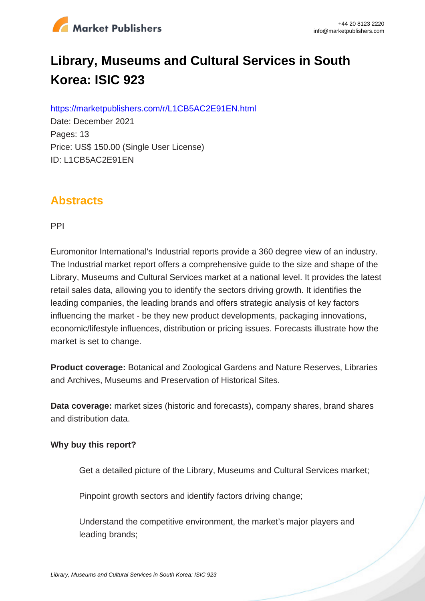

# **Library, Museums and Cultural Services in South Korea: ISIC 923**

https://marketpublishers.com/r/L1CB5AC2E91EN.html

Date: December 2021 Pages: 13 Price: US\$ 150.00 (Single User License) ID: L1CB5AC2E91EN

### **Abstracts**

PPI

Euromonitor International's Industrial reports provide a 360 degree view of an industry. The Industrial market report offers a comprehensive guide to the size and shape of the Library, Museums and Cultural Services market at a national level. It provides the latest retail sales data, allowing you to identify the sectors driving growth. It identifies the leading companies, the leading brands and offers strategic analysis of key factors influencing the market - be they new product developments, packaging innovations, economic/lifestyle influences, distribution or pricing issues. Forecasts illustrate how the market is set to change.

**Product coverage:** Botanical and Zoological Gardens and Nature Reserves, Libraries and Archives, Museums and Preservation of Historical Sites.

**Data coverage:** market sizes (historic and forecasts), company shares, brand shares and distribution data.

#### **Why buy this report?**

Get a detailed picture of the Library, Museums and Cultural Services market;

Pinpoint growth sectors and identify factors driving change:

Understand the competitive environment, the market's major players and leading brands;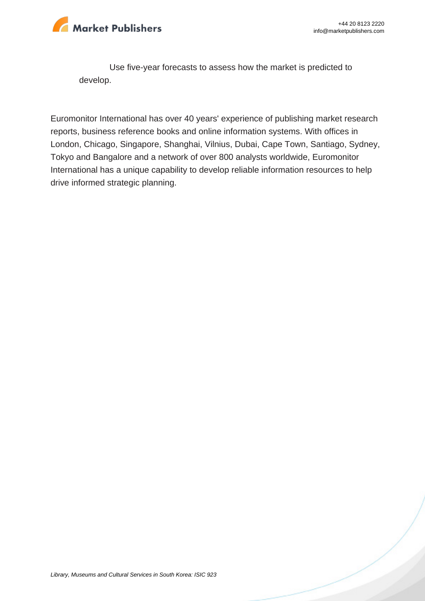

Use five-year forecasts to assess how the market is predicted to develop.

Euromonitor International has over 40 years' experience of publishing market research reports, business reference books and online information systems. With offices in London, Chicago, Singapore, Shanghai, Vilnius, Dubai, Cape Town, Santiago, Sydney, Tokyo and Bangalore and a network of over 800 analysts worldwide, Euromonitor International has a unique capability to develop reliable information resources to help drive informed strategic planning.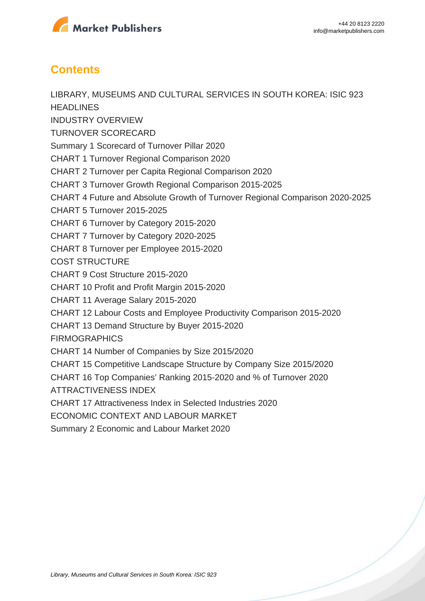

## **Contents**

LIBRARY, MUSEUMS AND CULTURAL SERVICES IN SOUTH KOREA: ISIC 923 **HEADLINES** INDUSTRY OVERVIEW TURNOVER SCORECARD Summary 1 Scorecard of Turnover Pillar 2020 CHART 1 Turnover Regional Comparison 2020 CHART 2 Turnover per Capita Regional Comparison 2020 CHART 3 Turnover Growth Regional Comparison 2015-2025 CHART 4 Future and Absolute Growth of Turnover Regional Comparison 2020-2025 CHART 5 Turnover 2015-2025 CHART 6 Turnover by Category 2015-2020 CHART 7 Turnover by Category 2020-2025 CHART 8 Turnover per Employee 2015-2020 COST STRUCTURE CHART 9 Cost Structure 2015-2020 CHART 10 Profit and Profit Margin 2015-2020 CHART 11 Average Salary 2015-2020 CHART 12 Labour Costs and Employee Productivity Comparison 2015-2020 CHART 13 Demand Structure by Buyer 2015-2020 **FIRMOGRAPHICS** CHART 14 Number of Companies by Size 2015/2020 CHART 15 Competitive Landscape Structure by Company Size 2015/2020 CHART 16 Top Companies' Ranking 2015-2020 and % of Turnover 2020 ATTRACTIVENESS INDEX CHART 17 Attractiveness Index in Selected Industries 2020 ECONOMIC CONTEXT AND LABOUR MARKET Summary 2 Economic and Labour Market 2020